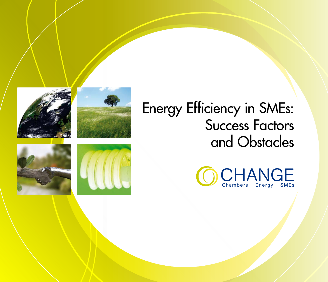



## Energy Efficiency in SMEs: Success Factors and Obstacles





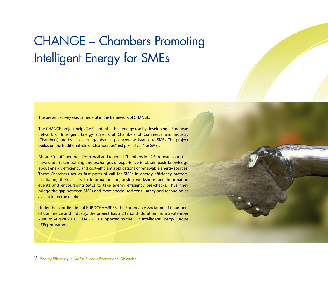## CHANGE – Chambers Promoting Intelligent Energy for SMEs

The present survey was carried out in the framework of CHANGE.

The CHANGE project helps SMEs optimise their energy use by developing a European network of Intelligent Energy advisors at Chambers of Commerce and Industry (Chambers) and by kick-starting/enhancing concrete assistance to SMEs. The project builds on the traditional role of Chambers as "first port of call" for SMEs.

About 60 staff members from local and regional Chambers in 12 European countries have undertaken training and exchanges of experience to obtain basic knowledge about energy efficiency and cost-efficient applications of renewable energy sources. These Chambers act as first ports of call for SMEs in energy efficiency matters, facilitating their access to information, organising workshops and information events and encouraging SMEs to take energy efficiency pre-checks. Thus, they bridge the gap between SMEs and more specialised consultancy and technologies available on the market.

Under the coordination of EUROCHAMBRES, the European Association of Chambers of Commerce and Industry, the project has a 24 month duration, from September 2008 to August 2010. CHANGE is supported by the EU's Intelligent Energy Europe (IEE) programme.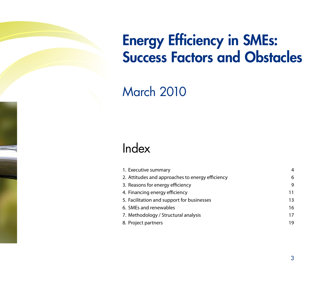# Energy Efficiency in SMEs: Success Factors and Obstacles

March 2010

### Index

| 1. Executive summary                             | 4  |
|--------------------------------------------------|----|
| 2. Attitudes and approaches to energy efficiency | 6  |
| 3. Reasons for energy efficiency                 | 9  |
| 4. Financing energy efficiency                   | 11 |
| 5. Facilitation and support for businesses       | 13 |
| 6. SMEs and renewables                           | 16 |
| 7. Methodology / Structural analysis             | 17 |
| 8. Project partners                              | 19 |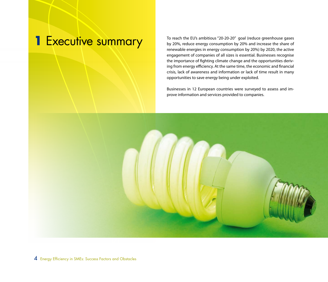**1** Executive summary To reach the EU's ambitious "20-20-20" goal (reduce greenhouse gases by 20%, reduce energy consumption by 20% and increase the share of by 20%, reduce energy consumption by 20% and increase the share of renewable energies in energy consumption by 20%) by 2020, the active engagement of companies of all sizes is essential. Businesses recognise the importance of fighting climate change and the opportunities deriving from energy efficiency. At the same time, the economic and financial crisis, lack of awareness and information or lack of time result in many opportunities to save energy being under exploited.

> Businesses in 12 European countries were surveyed to assess and improve information and services provided to companies.

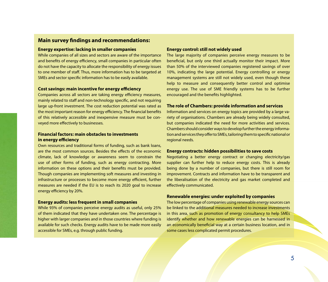### **Main survey findings and recommendations:**

#### **Energy expertise: lacking in smaller companies**

While companies of all sizes and sectors are aware of the importance and benefits of energy efficiency, small companies in particular often do not have the capacity to allocate the responsibility of energy issues to one member of staff. Thus, more information has to be targeted at SMEs and sector specific information has to be easily available.

#### **Cost savings: main incentive for energy efficiency**

Companies across all sectors are taking energy efficiency measures, mainly related to staff and non-technology specific, and not requiring large up-front investment. The cost reduction potential was rated as the most important reason for energy efficiency. The financial benefits of this relatively accessible and inexpensive measure must be conveyed more effectively to businesses.

#### **Financial factors: main obstacles to investments in energy efficiency**

Own resources and traditional forms of funding, such as bank loans, are the most common sources. Besides the effects of the economic climate, lack of knowledge or awareness seem to constrain the use of other forms of funding, such as energy contracting. More information on these options and their benefits must be provided. Though companies are implementing soft measures and investing in infrastructure or processes to become more energy efficient, further measures are needed if the EU is to reach its 2020 goal to increase energy efficiency by 20%.

#### **Energy audits: less frequent in small companies**

While 93% of companies perceive energy audits as useful, only 25% of them indicated that they have undertaken one. The percentage is higher with larger companies and in those countries where funding is available for such checks. Energy audits have to be made more easily accessible for SMEs, e.g. through public funding.

#### **Energy control: still not widely used**

The large majority of companies perceive energy measures to be beneficial, but only one third actually monitor their impact. More than 50% of the interviewed companies registered savings of over 10%, indicating the large potential. Energy controlling or energy management systems are still not widely used, even though these help to measure and consequently better control and optimise energy use. The use of SME friendly systems has to be further encouraged and the benefits highlighted.

#### **The role of Chambers: provide information and services**

Information and services on energy topics are provided by a large variety of organisations. Chambers are already being widely consulted, but companies indicated the need for more activities and services. Chambers should consider ways to develop further the energy information and services they offer to SMEs, tailoring them to specific national or regional needs.

#### **Energy contracts: hidden possibilities to save costs**

Negotiating a better energy contract or changing electricity/gas supplier can further help to reduce energy costs. This is already being done by a number of companies, but there is still room for improvement. Contracts and information have to be transparent and the liberalisation of the electricity and gas market completed and effectively communicated.

#### **Renewable energies: under exploited by companies**

The low percentage of companies using renewable energy sources can be linked to the additional measures needed to increase investments in this area, such as promotion of energy consultancy to help SMEs identify whether and how renewable energies can be harnessed in an economically beneficial way at a certain business location, and in some cases less complicated permit procedures.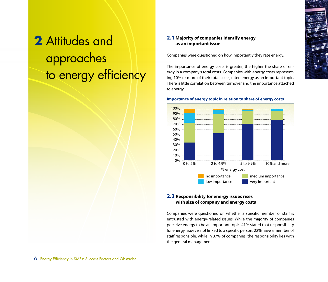## **2** Attitudes and approaches to energy efficiency

### **2.1 Majority of companies identify energy as an important issue**

Companies were questioned on how importantly they rate energy.

The importance of energy costs is greater, the higher the share of energy in a company's total costs. Companies with energy costs representing 10% or more of their total costs, rated energy as an important topic. There is little correlation between turnover and the importance attached to energy.

© olly - Fotolia.com



#### **Importance of energy topic in relation to share of energy costs**

#### **2.2 Responsibility for energy issues rises with size of company and energy costs**

Companies were questioned on whether a specific member of staff is entrusted with energy-related issues. While the majority of companies perceive energy to be an important topic, 41% stated that responsibility for energy issues is not linked to a specific person. 22% have a member of staff responsible, while in 37% of companies, the responsibility lies with the general management.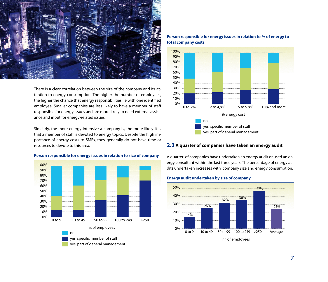

There is a clear correlation between the size of the company and its attention to energy consumption. The higher the number of employees, the higher the chance that energy responsibilities lie with one identified employee. Smaller companies are less likely to have a member of staff responsible for energy issues and are more likely to need external assistance and input for energy-related issues.

Similarly, the more energy intensive a company is, the more likely it is that a member of staff is devoted to energy topics. Despite the high importance of energy costs to SMEs, they generally do not have time or resources to devote to this area.



#### **Person responsible for energy issues in relation to size of company**





#### **2.3 A quarter of companies have taken an energy audit**

A quarter of companies have undertaken an energy audit or used an energy consultant within the last three years. The percentage of energy audits undertaken increases with company size and energy consumption.

#### **Energy audit undertaken by size of company**

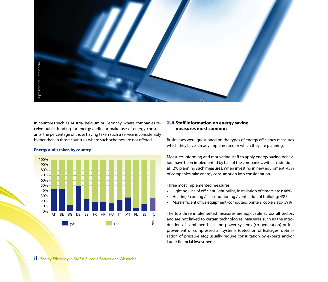

In countries such as Austria, Belgium or Germany, where companies receive public funding for energy audits or make use of energy consultants, the percentage of those having taken such a service is considerably higher than in those countries where such schemes are not offered.



#### **Energy audit taken by country**

#### **2.4 Staff information on energy saving measures most common**

Businesses were questioned on the types of energy efficiency measures which they have already implemented or which they are planning.

Measures informing and motivating staff to apply energy saving behaviour have been implemented by half of the companies, with an additional 12% planning such measures. When investing in new equipment, 45% of companies take energy consumption into consideration.

Three most implemented measures:

- Lighting (use of efficient light bulbs, installation of timers etc.): 48%
- Heating / cooling / air-conditioning / ventilation of building: 43%
- More efficient office equipment (computers, printers, copiers etc): 39%

The top three implemented measures are applicable across all sectors and are not linked to certain technologies. Measures such as the introduction of combined heat and power systems (co-generation) or improvement of compressed air systems (detection of leakages, optimisation of pressure etc.) usually require consultation by experts and/or larger financial investments.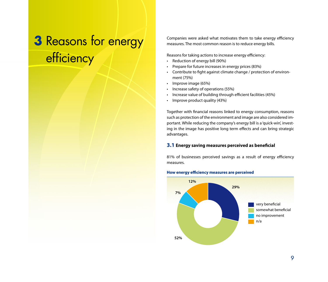### **3** Reasons for energy efficiency

Companies were asked what motivates them to take energy efficiency measures. The most common reason is to reduce energy bills.

Reasons for taking actions to increase energy efficiency:

- Reduction of energy bill (90%)
- Prepare for future increases in energy prices (83%)
- Contribute to fight against climate change / protection of environment (75%)
- Improve image (65%)
- Increase safety of operations (55%)
- Increase value of building through efficient facilities (45%)
- Improve product quality (43%)

Together with financial reasons linked to energy consumption, reasons such as protection of the environment and image are also considered important. While reducing the company's energy bill is a 'quick-win', investing in the image has positive long term effects and can bring strategic advantages.

#### **3.1 Energy saving measures perceived as beneficial**

81% of businesses perceived savings as a result of energy efficiency measures.

#### **How energy efficiency measures are perceived**

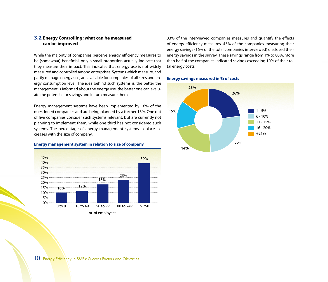#### **3.2 Energy Controlling: what can be measured can be improved**

While the majority of companies perceive energy efficiency measures to be (somewhat) beneficial, only a small proportion actually indicate that they measure their impact. This indicates that energy use is not widely measured and controlled among enterprises. Systems which measure, and partly manage energy use, are available for companies of all sizes and energy consumption level. The idea behind such systems is, the better the management is informed about the energy use, the better one can evaluate the potential for savings and in turn measure them.

Energy management systems have been implemented by 16% of the questioned companies and are being planned by a further 13%. One out of five companies consider such systems relevant, but are currently not planning to implement them, while one third has not considered such systems. The percentage of energy management systems in place increases with the size of company.

#### **Energy management system in relation to size of company**



33% of the interviewed companies measures and quantify the effects of energy efficiency measures. 45% of the companies measuring their energy savings (16% of the total companies interviewed) disclosed their energy savings in the survey. These savings range from 1% to 80%. More than half of the companies indicated savings exceeding 10% of their total energy costs.

#### **Energy savings measured in % of costs**

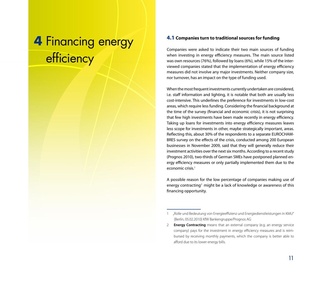### **4** Financing energy **efficiency**

#### **4.1 Companies turn to traditional sources for funding**

Companies were asked to indicate their two main sources of funding when investing in energy efficiency measures. The main source listed was own resources (76%), followed by loans (6%), while 15% of the interviewed companies stated that the implementation of energy efficiency measures did not involve any major investments. Neither company size, nor turnover, has an impact on the type of funding used.

When the most frequent investments currently undertaken are considered, i.e. staff information and lighting, it is notable that both are usually less cost-intensive. This underlines the preference for investments in low-cost areas, which require less funding. Considering the financial background at the time of the survey (financial and economic crisis), it is not surprising that few high investments have been made recently in energy efficiency. Taking up loans for investments into energy efficiency measures leaves less scope for investments in other, maybe strategically important, areas. Reflecting this, about 30% of the respondents to a separate EUROCHAM-BRES survey on the effects of the crisis, conducted among 200 European businesses in November 2009, said that they will generally reduce their investment activities over the next six months. According to a recent study (Prognos 2010), two-thirds of German SMEs have postponed planned energy efficiency measures or only partially implemented them due to the economic crisis.1

A possible reason for the low percentage of companies making use of energy contracting<sup>2</sup> might be a lack of knowledge or awareness of this financing opportunity.

<sup>1</sup> "Rolle und Bedeutung von Energieeffizienz und Energiedienstleistungen in KMU" (Berlin, 05.02.2010) KfW Bankengruppe/Prognos AG

<sup>2</sup> **Energy Contracting** means that an external company (e.g. an energy service company) pays for the investment in energy efficiency measures and is reimbursed by receiving monthly payments, which the company is better able to afford due to its lower energy bills.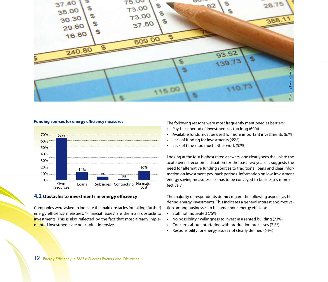

#### **Funding sources for energy efficiency measures**



#### **4.2 Obstacles to investments in energy efficiency**

Companies were asked to indicate the main obstacles for taking (further) energy efficiency measures. "Financial issues" are the main obstacle to investments. This is also reflected by the fact that most already implemented investments are not capital-intensive.

The following reasons were most frequently mentioned as barriers:

- Pay-back period of investments is too long (69%)
- Available funds must be used for more important investments (67%)
- Lack of funding for investments (65%)
- Lack of time / too much other work (57%)

Looking at the four highest rated answers, one clearly sees the link to the acute overall economic situation for the past two years. It suggests the need for alternative funding sources to traditional loans and clear information on investment pay-back periods. Information on low-investment energy saving measures also has to be conveyed to businesses more effectively.

The majority of respondents do **not** regard the following aspects as hindering energy investments. This indicates a general interest and motivation among businesses to become more energy efficient:

- Staff not motivated (75%)
- No possibility / willingness to invest in a rented building (73%)
- Concerns about interfering with production processes (71%)
- Responsibility for energy issues not clearly defined (64%)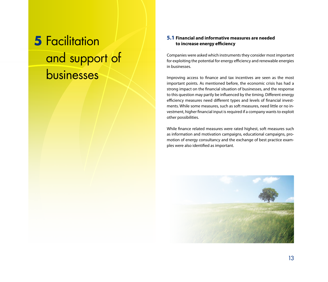## **5** Facilitation and support of businesses

### **5.1 Financial and informative measures are needed to increase energy efficiency**

Companies were asked which instruments they consider most important for exploiting the potential for energy efficiency and renewable energies in businesses.

Improving access to finance and tax incentives are seen as the most important points. As mentioned before, the economic crisis has had a strong impact on the financial situation of businesses, and the response to this question may partly be influenced by the timing. Different energy efficiency measures need different types and levels of financial investments. While some measures, such as soft measures, need little or no investment, higher financial input is required if a company wants to exploit other possibilities.

While finance related measures were rated highest, soft measures such as information and motivation campaigns, educational campaigns, promotion of energy consultancy and the exchange of best practice examples were also identified as important.

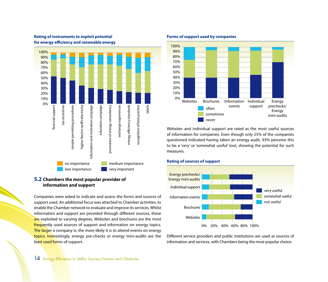

#### **Rating of instruments to exploit potential for energy efficiency and renewable energy**

#### **5.2 Chambers the most popular provider of information and support**

Companies were asked to indicate and assess the forms and sources of support used. An additional focus was attached to Chamber activities, to enable the Chamber network to evaluate and improve its services. Whilst information and support are provided through different sources, these are exploited to varying degrees. Websites and brochures are the most frequently used sources of support and information on energy topics. The larger a company is, the more likely it is to attend events on energy topics. Interestingly, energy pre-checks or energy mini-audits are the least used forms of support.

#### **Forms of support used by companies**



Websites and individual support are rated as the most useful sources of information for companies. Even though only 25% of the companies questioned indicated having taken an energy audit, 93% perceive this to be a 'very' or 'somewhat useful' tool, showing the potential for such measures.



### **Rating of sources of support**

Different service providers and public institutions are used as sources of information and services, with Chambers being the most popular choice.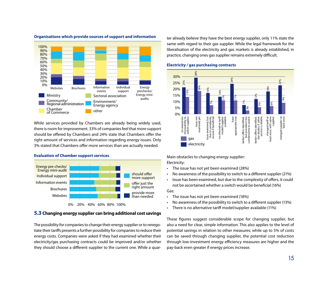

#### **Organisations which provide sources of support and information**

While services provided by Chambers are already being widely used, there is room for improvement. 33% of companies feel that more support should be offered by Chambers and 24% state that Chambers offer the right amount of services and information regarding energy issues. Only 3% stated that Chambers offer more services than are actually needed.



#### **Evaluation of Chamber support services**

**5.3 Changing energy supplier can bring additional cost savings**

The possibility for companies to change their energy supplier or to renegotiate their tariffs presents a further possibility for companies to reduce their energy costs. Companies were asked if they had examined whether their electricity/gas purchasing contracts could be improved and/or whether they should choose a different supplier to the current one. While a quarter already believe they have the best energy supplier, only 11% state the same with regard to their gas supplier. While the legal framework for the liberalisation of the electricity and gas markets is already established, in practice, changing ones gas supplier remains extremely difficult.



#### **Electricity / gas purchasing contracts**

Main obstacles to changing energy supplier: Electricity:

- The issue has not yet been examined (28%)
- No awareness of the possibility to switch to a different supplier (21%)
- Issue has been examined, but due to the complexity of offers, it could not be ascertained whether a switch would be beneficial (16%)

#### Gas:

- The issue has not yet been examined (18%)
- No awareness of the possibility to switch to a different supplier (13%)
- There is no alternative tariff model/supplier available (11%)

These figures suggest considerable scope for changing supplier, but also a need for clear, simple information. This also applies to the level of potential savings in relation to other measures; while up to 5% of costs can be saved through changing supplier, the potential cost reduction through low-investment energy efficiency measures are higher and the pay-back even greater if energy prices increase.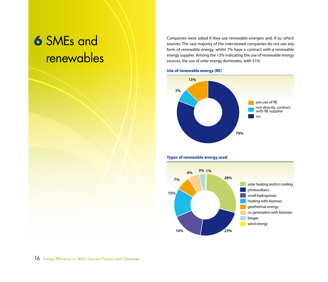## **6** SMEs and renewables

Companies were asked if they use renewable energies and, if so, which sources. The vast majority of the interviewed companies do not use any form of renewable energy, whilst 7% have a contract with a renewable energy supplier. Among the 13% indicating the use of renewable energy sources, the use of solar energy dominates, with 51%.

#### **Use of renewable energy (RE)**





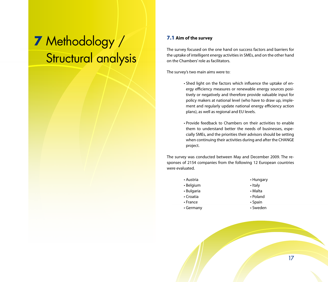### **7** Methodology / Structural analysis

#### **7.1 Aim of the survey**

The survey focused on the one hand on success factors and barriers for the uptake of intelligent energy activities in SMEs, and on the other hand on the Chambers' role as facilitators.

The survey's two main aims were to:

- Shed light on the factors which influence the uptake of energy efficiency measures or renewable energy sources positively or negatively and therefore provide valuable input for policy makers at national level (who have to draw up, implement and regularly update national energy efficiency action plans), as well as regional and EU levels.
- Provide feedback to Chambers on their activities to enable them to understand better the needs of businesses, especially SMEs, and the priorities their advisors should be setting when continuing their activities during and after the CHANGE project.

The survey was conducted between May and December 2009. The responses of 2154 companies from the following 12 European countries were evaluated.

| • Austria      | • Hungary     |
|----------------|---------------|
| • Belgium      | • Italy       |
| • Bulgaria     | • Malta       |
| • Croatia      | • Poland      |
| $\cdot$ France | $\cdot$ Spain |
| • Germany      | • Sweden      |
|                |               |

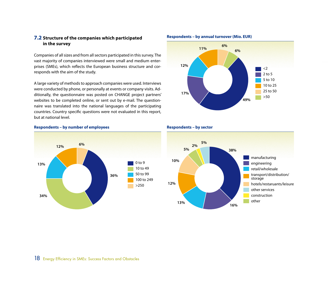#### **7.2 Structure of the companies which participated in the survey**

Companies of all sizes and from all sectors participated in this survey. The vast majority of companies interviewed were small and medium enterprises (SMEs), which reflects the European business structure and corresponds with the aim of the study.

A large variety of methods to approach companies were used. Interviews were conducted by phone, or personally at events or company visits. Additionally, the questionnaire was posted on CHANGE project partners' websites to be completed online, or sent out by e-mail. The questionnaire was translated into the national languages of the participating countries. Country specific questions were not evaluated in this report, but at national level.







#### **Respondents – by sector**

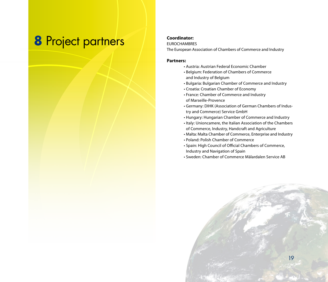### **8** Project partners **Coordinator:**

#### EUROCHAMBRES

The European Association of Chambers of Commerce and Industry

#### **Partners:**

- Austria: Austrian Federal Economic Chamber
- Belgium: Federation of Chambers of Commerce and Industry of Belgium
- Bulgaria: Bulgarian Chamber of Commerce and Industry
- Croatia: Croatian Chamber of Economy
- France: Chamber of Commerce and Industry of Marseille-Provence
- Germany: DIHK (Association of German Chambers of Industry and Commerce) Service GmbH
- Hungary: Hungarian Chamber of Commerce and Industry
- Italy: Unioncamere, the Italian Association of the Chambers of Commerce, Industry, Handcraft and Agriculture
- Malta: Malta Chamber of Commerce, Enterprise and Industry
- Poland: Polish Chamber of Commerce
- Spain: High Council of Official Chambers of Commerce, Industry and Navigation of Spain
- Sweden: Chamber of Commerce Mälardalen Service AB